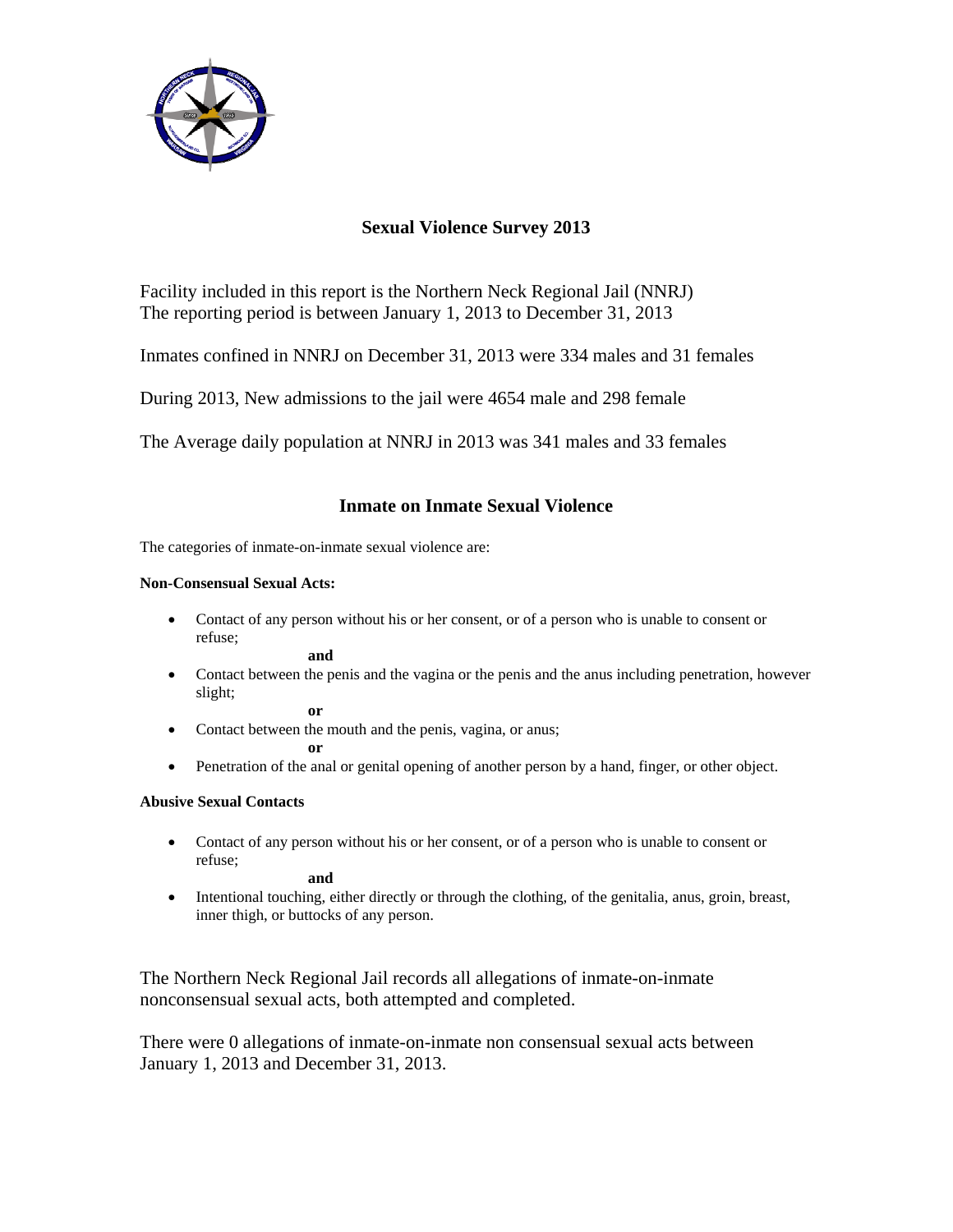

# **Sexual Violence Survey 2013**

Facility included in this report is the Northern Neck Regional Jail (NNRJ) The reporting period is between January 1, 2013 to December 31, 2013

Inmates confined in NNRJ on December 31, 2013 were 334 males and 31 females

During 2013, New admissions to the jail were 4654 male and 298 female

The Average daily population at NNRJ in 2013 was 341 males and 33 females

## **Inmate on Inmate Sexual Violence**

The categories of inmate-on-inmate sexual violence are:

### **Non-Consensual Sexual Acts:**

 Contact of any person without his or her consent, or of a person who is unable to consent or refuse;

**and**

 Contact between the penis and the vagina or the penis and the anus including penetration, however slight;

**or** 

• Contact between the mouth and the penis, vagina, or anus;

**or** 

Penetration of the anal or genital opening of another person by a hand, finger, or other object.

## **Abusive Sexual Contacts**

 Contact of any person without his or her consent, or of a person who is unable to consent or refuse;

**and** 

 Intentional touching, either directly or through the clothing, of the genitalia, anus, groin, breast, inner thigh, or buttocks of any person.

The Northern Neck Regional Jail records all allegations of inmate-on-inmate nonconsensual sexual acts, both attempted and completed.

There were 0 allegations of inmate-on-inmate non consensual sexual acts between January 1, 2013 and December 31, 2013.